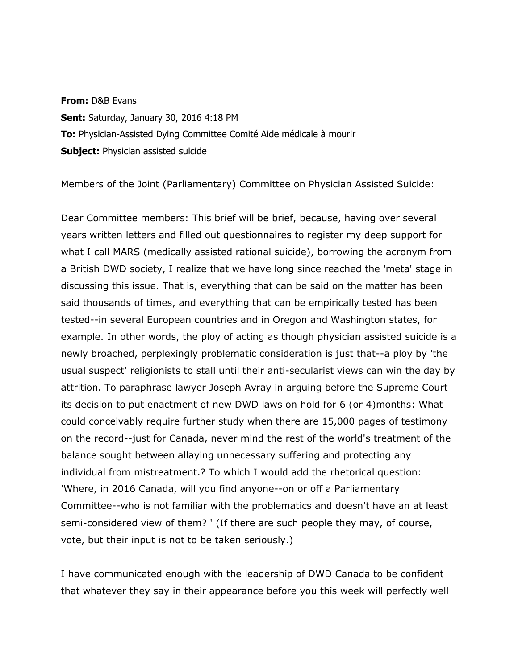**From:** D&B Evans **Sent:** Saturday, January 30, 2016 4:18 PM **To:** Physician-Assisted Dying Committee Comité Aide médicale à mourir **Subject: Physician assisted suicide** 

Members of the Joint (Parliamentary) Committee on Physician Assisted Suicide:

Dear Committee members: This brief will be brief, because, having over several years written letters and filled out questionnaires to register my deep support for what I call MARS (medically assisted rational suicide), borrowing the acronym from a British DWD society, I realize that we have long since reached the 'meta' stage in discussing this issue. That is, everything that can be said on the matter has been said thousands of times, and everything that can be empirically tested has been tested--in several European countries and in Oregon and Washington states, for example. In other words, the ploy of acting as though physician assisted suicide is a newly broached, perplexingly problematic consideration is just that--a ploy by 'the usual suspect' religionists to stall until their anti-secularist views can win the day by attrition. To paraphrase lawyer Joseph Avray in arguing before the Supreme Court its decision to put enactment of new DWD laws on hold for 6 (or 4)months: What could conceivably require further study when there are 15,000 pages of testimony on the record--just for Canada, never mind the rest of the world's treatment of the balance sought between allaying unnecessary suffering and protecting any individual from mistreatment.? To which I would add the rhetorical question: 'Where, in 2016 Canada, will you find anyone--on or off a Parliamentary Committee--who is not familiar with the problematics and doesn't have an at least semi-considered view of them? ' (If there are such people they may, of course, vote, but their input is not to be taken seriously.)

I have communicated enough with the leadership of DWD Canada to be confident that whatever they say in their appearance before you this week will perfectly well